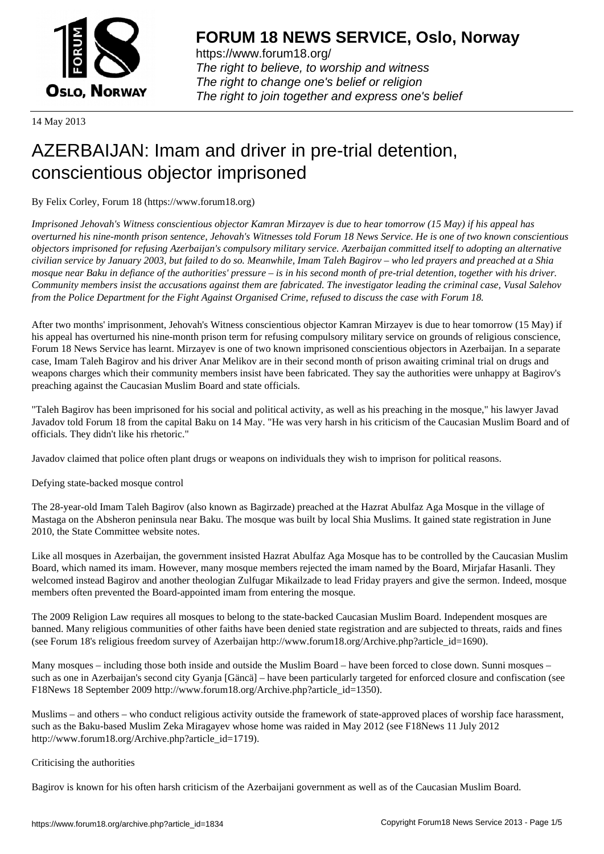

https://www.forum18.org/ The right to believe, to worship and witness The right to change one's belief or religion [The right to join together a](https://www.forum18.org/)nd express one's belief

14 May 2013

# [AZERBAIJAN: I](https://www.forum18.org)mam and driver in pre-trial detention, conscientious objector imprisoned

By Felix Corley, Forum 18 (https://www.forum18.org)

*Imprisoned Jehovah's Witness conscientious objector Kamran Mirzayev is due to hear tomorrow (15 May) if his appeal has overturned his nine-month prison sentence, Jehovah's Witnesses told Forum 18 News Service. He is one of two known conscientious objectors imprisoned for refusing Azerbaijan's compulsory military service. Azerbaijan committed itself to adopting an alternative civilian service by January 2003, but failed to do so. Meanwhile, Imam Taleh Bagirov – who led prayers and preached at a Shia mosque near Baku in defiance of the authorities' pressure – is in his second month of pre-trial detention, together with his driver. Community members insist the accusations against them are fabricated. The investigator leading the criminal case, Vusal Salehov from the Police Department for the Fight Against Organised Crime, refused to discuss the case with Forum 18.*

After two months' imprisonment, Jehovah's Witness conscientious objector Kamran Mirzayev is due to hear tomorrow (15 May) if his appeal has overturned his nine-month prison term for refusing compulsory military service on grounds of religious conscience, Forum 18 News Service has learnt. Mirzayev is one of two known imprisoned conscientious objectors in Azerbaijan. In a separate case, Imam Taleh Bagirov and his driver Anar Melikov are in their second month of prison awaiting criminal trial on drugs and weapons charges which their community members insist have been fabricated. They say the authorities were unhappy at Bagirov's preaching against the Caucasian Muslim Board and state officials.

"Taleh Bagirov has been imprisoned for his social and political activity, as well as his preaching in the mosque," his lawyer Javad Javadov told Forum 18 from the capital Baku on 14 May. "He was very harsh in his criticism of the Caucasian Muslim Board and of officials. They didn't like his rhetoric."

Javadov claimed that police often plant drugs or weapons on individuals they wish to imprison for political reasons.

Defying state-backed mosque control

The 28-year-old Imam Taleh Bagirov (also known as Bagirzade) preached at the Hazrat Abulfaz Aga Mosque in the village of Mastaga on the Absheron peninsula near Baku. The mosque was built by local Shia Muslims. It gained state registration in June 2010, the State Committee website notes.

Like all mosques in Azerbaijan, the government insisted Hazrat Abulfaz Aga Mosque has to be controlled by the Caucasian Muslim Board, which named its imam. However, many mosque members rejected the imam named by the Board, Mirjafar Hasanli. They welcomed instead Bagirov and another theologian Zulfugar Mikailzade to lead Friday prayers and give the sermon. Indeed, mosque members often prevented the Board-appointed imam from entering the mosque.

The 2009 Religion Law requires all mosques to belong to the state-backed Caucasian Muslim Board. Independent mosques are banned. Many religious communities of other faiths have been denied state registration and are subjected to threats, raids and fines (see Forum 18's religious freedom survey of Azerbaijan http://www.forum18.org/Archive.php?article\_id=1690).

Many mosques – including those both inside and outside the Muslim Board – have been forced to close down. Sunni mosques – such as one in Azerbaijan's second city Gyanja [Gäncä] – have been particularly targeted for enforced closure and confiscation (see F18News 18 September 2009 http://www.forum18.org/Archive.php?article\_id=1350).

Muslims – and others – who conduct religious activity outside the framework of state-approved places of worship face harassment, such as the Baku-based Muslim Zeka Miragayev whose home was raided in May 2012 (see F18News 11 July 2012 http://www.forum18.org/Archive.php?article\_id=1719).

## Criticising the authorities

Bagirov is known for his often harsh criticism of the Azerbaijani government as well as of the Caucasian Muslim Board.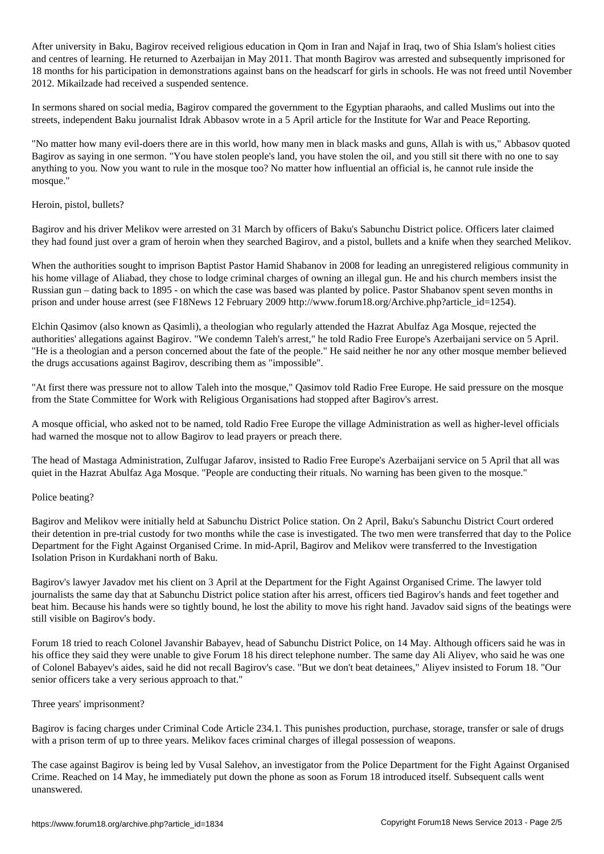After university in Baku, Bagirov received religious education in Qom in Iran and Najaf in Iraq, two of Shia Islam's holiest cities and centres of learning. He returned to Azerbaijan in May 2011. That month Bagirov was arrested and subsequently imprisoned for 18 months for his participation in demonstrations against bans on the headscarf for girls in schools. He was not freed until November 2012. Mikailzade had received a suspended sentence.

In sermons shared on social media, Bagirov compared the government to the Egyptian pharaohs, and called Muslims out into the streets, independent Baku journalist Idrak Abbasov wrote in a 5 April article for the Institute for War and Peace Reporting.

"No matter how many evil-doers there are in this world, how many men in black masks and guns, Allah is with us," Abbasov quoted Bagirov as saying in one sermon. "You have stolen people's land, you have stolen the oil, and you still sit there with no one to say anything to you. Now you want to rule in the mosque too? No matter how influential an official is, he cannot rule inside the mosque."

## Heroin, pistol, bullets?

Bagirov and his driver Melikov were arrested on 31 March by officers of Baku's Sabunchu District police. Officers later claimed they had found just over a gram of heroin when they searched Bagirov, and a pistol, bullets and a knife when they searched Melikov.

When the authorities sought to imprison Baptist Pastor Hamid Shabanov in 2008 for leading an unregistered religious community in his home village of Aliabad, they chose to lodge criminal charges of owning an illegal gun. He and his church members insist the Russian gun – dating back to 1895 - on which the case was based was planted by police. Pastor Shabanov spent seven months in prison and under house arrest (see F18News 12 February 2009 http://www.forum18.org/Archive.php?article\_id=1254).

Elchin Qasimov (also known as Qasimli), a theologian who regularly attended the Hazrat Abulfaz Aga Mosque, rejected the authorities' allegations against Bagirov. "We condemn Taleh's arrest," he told Radio Free Europe's Azerbaijani service on 5 April. "He is a theologian and a person concerned about the fate of the people." He said neither he nor any other mosque member believed the drugs accusations against Bagirov, describing them as "impossible".

"At first there was pressure not to allow Taleh into the mosque," Qasimov told Radio Free Europe. He said pressure on the mosque from the State Committee for Work with Religious Organisations had stopped after Bagirov's arrest.

A mosque official, who asked not to be named, told Radio Free Europe the village Administration as well as higher-level officials had warned the mosque not to allow Bagirov to lead prayers or preach there.

The head of Mastaga Administration, Zulfugar Jafarov, insisted to Radio Free Europe's Azerbaijani service on 5 April that all was quiet in the Hazrat Abulfaz Aga Mosque. "People are conducting their rituals. No warning has been given to the mosque."

#### Police beating?

Bagirov and Melikov were initially held at Sabunchu District Police station. On 2 April, Baku's Sabunchu District Court ordered their detention in pre-trial custody for two months while the case is investigated. The two men were transferred that day to the Police Department for the Fight Against Organised Crime. In mid-April, Bagirov and Melikov were transferred to the Investigation Isolation Prison in Kurdakhani north of Baku.

Bagirov's lawyer Javadov met his client on 3 April at the Department for the Fight Against Organised Crime. The lawyer told journalists the same day that at Sabunchu District police station after his arrest, officers tied Bagirov's hands and feet together and beat him. Because his hands were so tightly bound, he lost the ability to move his right hand. Javadov said signs of the beatings were still visible on Bagirov's body.

Forum 18 tried to reach Colonel Javanshir Babayev, head of Sabunchu District Police, on 14 May. Although officers said he was in his office they said they were unable to give Forum 18 his direct telephone number. The same day Ali Aliyev, who said he was one of Colonel Babayev's aides, said he did not recall Bagirov's case. "But we don't beat detainees," Aliyev insisted to Forum 18. "Our senior officers take a very serious approach to that."

#### Three years' imprisonment?

Bagirov is facing charges under Criminal Code Article 234.1. This punishes production, purchase, storage, transfer or sale of drugs with a prison term of up to three years. Melikov faces criminal charges of illegal possession of weapons.

The case against Bagirov is being led by Vusal Salehov, an investigator from the Police Department for the Fight Against Organised Crime. Reached on 14 May, he immediately put down the phone as soon as Forum 18 introduced itself. Subsequent calls went unanswered.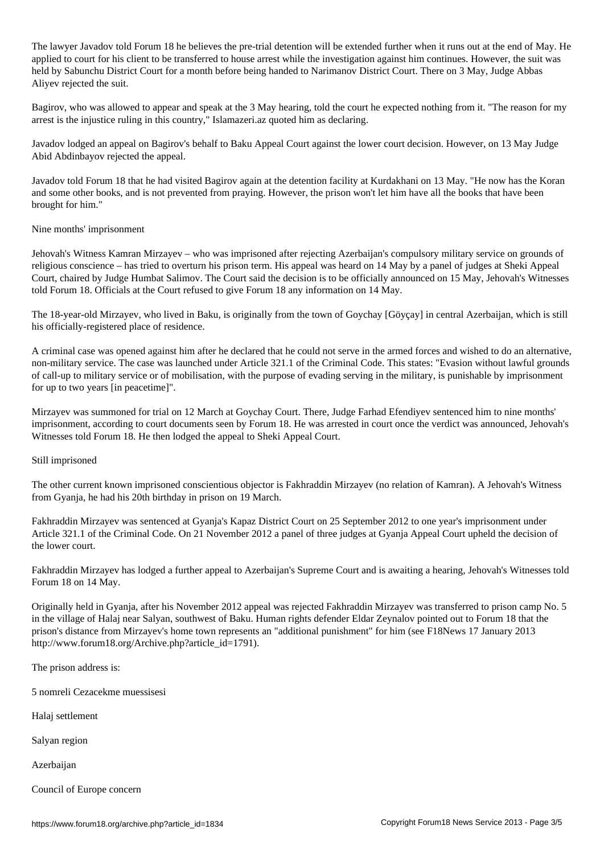The lawyer  $\mathcal I$  he believes the pre-trial detention will be extended function will be end of  $\mathcal I$ applied to court for his client to be transferred to house arrest while the investigation against him continues. However, the suit was held by Sabunchu District Court for a month before being handed to Narimanov District Court. There on 3 May, Judge Abbas Aliyev rejected the suit.

Bagirov, who was allowed to appear and speak at the 3 May hearing, told the court he expected nothing from it. "The reason for my arrest is the injustice ruling in this country," Islamazeri.az quoted him as declaring.

Javadov lodged an appeal on Bagirov's behalf to Baku Appeal Court against the lower court decision. However, on 13 May Judge Abid Abdinbayov rejected the appeal.

Javadov told Forum 18 that he had visited Bagirov again at the detention facility at Kurdakhani on 13 May. "He now has the Koran and some other books, and is not prevented from praying. However, the prison won't let him have all the books that have been brought for him."

### Nine months' imprisonment

Jehovah's Witness Kamran Mirzayev – who was imprisoned after rejecting Azerbaijan's compulsory military service on grounds of religious conscience – has tried to overturn his prison term. His appeal was heard on 14 May by a panel of judges at Sheki Appeal Court, chaired by Judge Humbat Salimov. The Court said the decision is to be officially announced on 15 May, Jehovah's Witnesses told Forum 18. Officials at the Court refused to give Forum 18 any information on 14 May.

The 18-year-old Mirzayev, who lived in Baku, is originally from the town of Goychay [Göyçay] in central Azerbaijan, which is still his officially-registered place of residence.

A criminal case was opened against him after he declared that he could not serve in the armed forces and wished to do an alternative, non-military service. The case was launched under Article 321.1 of the Criminal Code. This states: "Evasion without lawful grounds of call-up to military service or of mobilisation, with the purpose of evading serving in the military, is punishable by imprisonment for up to two years [in peacetime]".

Mirzayev was summoned for trial on 12 March at Goychay Court. There, Judge Farhad Efendiyev sentenced him to nine months' imprisonment, according to court documents seen by Forum 18. He was arrested in court once the verdict was announced, Jehovah's Witnesses told Forum 18. He then lodged the appeal to Sheki Appeal Court.

#### Still imprisoned

The other current known imprisoned conscientious objector is Fakhraddin Mirzayev (no relation of Kamran). A Jehovah's Witness from Gyanja, he had his 20th birthday in prison on 19 March.

Fakhraddin Mirzayev was sentenced at Gyanja's Kapaz District Court on 25 September 2012 to one year's imprisonment under Article 321.1 of the Criminal Code. On 21 November 2012 a panel of three judges at Gyanja Appeal Court upheld the decision of the lower court.

Fakhraddin Mirzayev has lodged a further appeal to Azerbaijan's Supreme Court and is awaiting a hearing, Jehovah's Witnesses told Forum 18 on 14 May.

Originally held in Gyanja, after his November 2012 appeal was rejected Fakhraddin Mirzayev was transferred to prison camp No. 5 in the village of Halaj near Salyan, southwest of Baku. Human rights defender Eldar Zeynalov pointed out to Forum 18 that the prison's distance from Mirzayev's home town represents an "additional punishment" for him (see F18News 17 January 2013 http://www.forum18.org/Archive.php?article\_id=1791).

The prison address is:

5 nomreli Cezacekme muessisesi

Halaj settlement

Salyan region

Azerbaijan

Council of Europe concern